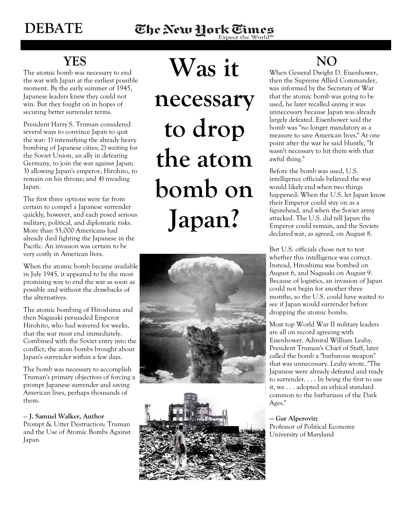## **YES**

The atomic bomb was necessary to end the war with Japan at the earliest possible moment. By the early summer of 1945, Japanese leaders knew they could not win. But they fought on in hopes of securing better surrender terms.

President Harry S. Truman considered several ways to convince Japan to quit the war: 1) intensifying the already heavy bombing of Japanese cities; 2) waiting for the Soviet Union, an ally in defeating Germany, to join the war against Japan; 3) allowing Japan's emperor, Hirohito, to remain on his throne; and 4) invading Japan.

The first three options were far from certain to compel a Japanese surrender quickly, however, and each posed serious military, political, and diplomatic risks. More than 55,000 Americans had already died fighting the Japanese in the Pacific. An invasion was certain to be very costly in American lives.

When the atomic bomb became available in July 1945, it appeared to be the most promising way to end the war as soon as possible and without the drawbacks of the alternatives.

The atomic bombing of Hiroshima and then Nagasaki persuaded Emperor Hirohito, who had wavered for weeks, that the war must end immediately. Combined with the Soviet entry into the conflict, the atom bombs brought about Japan's surrender within a few days.

The bomb was necessary to accomplish Truman's primary objectives of forcing a prompt Japanese surrender and saving American lives, perhaps thousands of them.

## — **J. Samuel Walker, Author**

Prompt & Utter Destruction: Truman and the Use of Atomic Bombs Against Japan

**Was it** 

**necessary to drop the atom bomb on Japan?**





## **NO**

When General Dwight D. Eisenhower, then the Supreme Allied Commander, was informed by the Secretary of War that the atomic bomb was going to be used, he later recalled saying it was unnecessary because Japan was already largely defeated. Eisenhower said the bomb was "no longer mandatory as a measure to save American lives." At one point after the war he said bluntly, "It wasn't necessary to hit them with that awful thing."

Before the bomb was used, U.S. intelligence officials believed the war would likely end when two things happened: When the U.S. let Japan know their Emperor could stay on as a figurehead, and when the Soviet army attacked. The U.S. did tell Japan the Emperor could remain, and the Soviets declared war, as agreed, on August 8.

But U.S. officials chose not to test whether this intelligence was correct. Instead, Hiroshima was bombed on August 6, and Nagasaki on August 9. Because of logistics, an invasion of Japan could not begin for another three months, so the U.S. could have waited to see if Japan would surrender before dropping the atomic bombs.

Most top World War II military leaders are all on record agreeing with Eisenhower. Admiral William Leahy, President Truman's Chief of Staff, later called the bomb a "barbarous weapon" that was unnecessary. Leahy wrote, "The Japanese were already defeated and ready to surrender. . . . In being the first to use it, we . . . adopted an ethical standard common to the barbarians of the Dark Ages."

**— Gar Alperovitz**  Professor of Political Economy University of Maryland